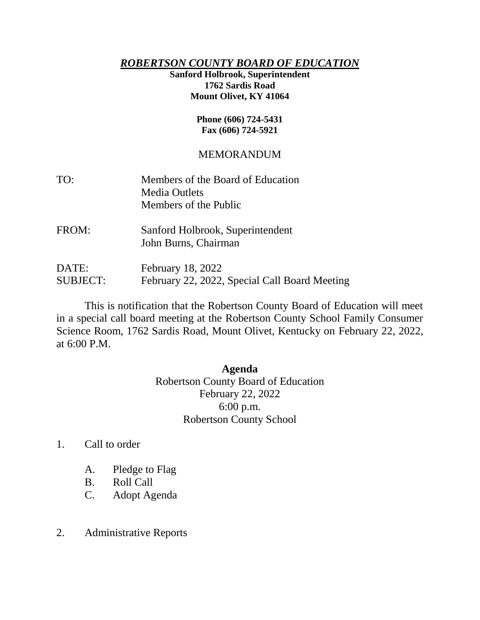## *ROBERTSON COUNTY BOARD OF EDUCATION*

## **Sanford Holbrook, Superintendent 1762 Sardis Road Mount Olivet, KY 41064**

#### **Phone (606) 724-5431 Fax (606) 724-5921**

# MEMORANDUM

| TO:   | Members of the Board of Education<br><b>Media Outlets</b><br>Members of the Public |
|-------|------------------------------------------------------------------------------------|
| FROM: | Sanford Holbrook, Superintendent<br>John Burns, Chairman                           |
| DATE: | February 18, 2022                                                                  |

SUBJECT: February 22, 2022, Special Call Board Meeting

This is notification that the Robertson County Board of Education will meet in a special call board meeting at the Robertson County School Family Consumer Science Room, 1762 Sardis Road, Mount Olivet, Kentucky on February 22, 2022, at 6:00 P.M.

## **Agenda**

Robertson County Board of Education February 22, 2022 6:00 p.m. Robertson County School

- 1. Call to order
	- A. Pledge to Flag
	- B. Roll Call
	- C. Adopt Agenda
- 2. Administrative Reports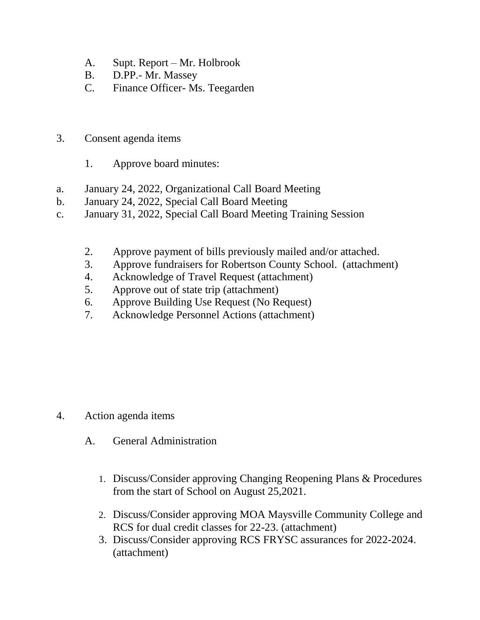- A. Supt. Report Mr. Holbrook
- B. D.PP.- Mr. Massey
- C. Finance Officer- Ms. Teegarden
- 3. Consent agenda items
	- 1. Approve board minutes:
- a. January 24, 2022, Organizational Call Board Meeting
- b. January 24, 2022, Special Call Board Meeting
- c. January 31, 2022, Special Call Board Meeting Training Session
	- 2. Approve payment of bills previously mailed and/or attached.
	- 3. Approve fundraisers for Robertson County School. (attachment)
	- 4. Acknowledge of Travel Request (attachment)
	- 5. Approve out of state trip (attachment)
	- 6. Approve Building Use Request (No Request)
	- 7. Acknowledge Personnel Actions (attachment)

- 4. Action agenda items
	- A. General Administration
		- 1. Discuss/Consider approving Changing Reopening Plans & Procedures from the start of School on August 25,2021.
		- 2. Discuss/Consider approving MOA Maysville Community College and RCS for dual credit classes for 22-23. (attachment)
		- 3. Discuss/Consider approving RCS FRYSC assurances for 2022-2024. (attachment)